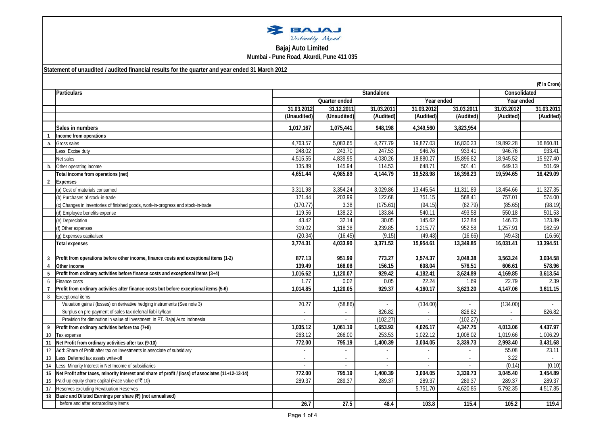| BAJAJ            |  |  |  |  |
|------------------|--|--|--|--|
| Distinctly Ahead |  |  |  |  |

## **Bajaj Auto Limited Mumbai - Pune Road, Akurdi, Pune 411 035**

## **Statement of unaudited / audited financial results for the quarter and year ended 31 March 2012**

|                | (₹ In Crore)                                                                                       |                |             |            |                |            |                       |            |
|----------------|----------------------------------------------------------------------------------------------------|----------------|-------------|------------|----------------|------------|-----------------------|------------|
|                | <b>Particulars</b>                                                                                 | Standalone     |             |            |                |            | Consolidated          |            |
|                |                                                                                                    | Quarter ended  |             | Year ended |                | Year ended |                       |            |
|                |                                                                                                    | 31.03.2012     | 31.12.2011  | 31.03.2011 | 31.03.2012     | 31.03.2011 | 31.03.2012            | 31.03.2011 |
|                |                                                                                                    | (Unaudited)    | (Unaudited) | (Audited)  | (Audited)      | (Audited)  | (Audited)             | (Audited)  |
|                | Sales in numbers                                                                                   | 1,017,167      | 1,075,441   | 948,198    | 4,349,560      | 3,823,954  |                       |            |
|                | Income from operations                                                                             |                |             |            |                |            |                       |            |
| a.             | Gross sales                                                                                        | 4,763.57       | 5,083.65    | 4,277.79   | 19,827.03      | 16,830.23  | 19,892.28             | 16,860.81  |
|                | Less: Excise duty                                                                                  | 248.02         | 243.70      | 247.53     | 946.76         | 933.41     | 946.76                | 933.41     |
|                | Net sales                                                                                          | 4,515.55       | 4,839.95    | 4,030.26   | 18,880.27      | 15,896.82  | 18,945.52             | 15,927.40  |
| b.             | Other operating income                                                                             | 135.89         | 145.94      | 114.53     | 648.71         | 501.41     | 649.13                | 501.69     |
|                | Total income from operations (net)                                                                 | 4,651.44       | 4,985.89    | 4,144.79   | 19,528.98      | 16,398.23  | 19,594.65             | 16,429.09  |
| $\overline{2}$ | <b>Expenses</b>                                                                                    |                |             |            |                |            |                       |            |
|                | (a) Cost of materials consumed                                                                     | 3,311.98       | 3,354.24    | 3,029.86   | 13,445.54      | 11,311.89  | 13,454.66             | 11,327.35  |
|                | (b) Purchases of stock-in-trade                                                                    | 171.44         | 203.99      | 122.68     | 751.15         | 568.41     | 757.01                | 574.00     |
|                | (c) Changes in inventories of finished goods, work-in-progress and stock-in-trade                  | (170.77)       | 3.38        | (175.61)   | (94.15)        | (82.79)    | (85.65)               | (98.19)    |
|                | (d) Employee benefits expense                                                                      | 119.56         | 138.22      | 133.84     | 540.11         | 493.58     | 550.18                | 501.53     |
|                | (e) Depreciation                                                                                   | 43.42          | 32.14       | 30.05      | 145.62         | 122.84     | 146.73                | 123.89     |
|                | (f) Other expenses                                                                                 | 319.02         | 318.38      | 239.85     | 1,215.77       | 952.58     | 1,257.91              | 982.59     |
|                | (g) Expenses capitalised                                                                           | (20.34)        | (16.45)     | (9.15)     | (49.43)        | (16.66)    | (49.43)               | (16.66)    |
|                | <b>Total expenses</b>                                                                              | 3,774.31       | 4,033.90    | 3,371.52   | 15,954.61      | 13,349.85  | 16,031.41             | 13,394.51  |
|                |                                                                                                    |                |             |            |                |            |                       |            |
|                | Profit from operations before other income, finance costs and exceptional items (1-2)              | 877.13         | 951.99      | 773.27     | 3,574.37       | 3,048.38   | 3,563.24              | 3,034.58   |
| $\overline{4}$ | Other income                                                                                       | 139.49         | 168.08      | 156.15     | 608.04         | 576.51     | 606.61                | 578.96     |
| 5              | Profit from ordinary activities before finance costs and exceptional items (3+4)                   | 1,016.62       | 1,120.07    | 929.42     | 4,182.41       | 3,624.89   | 4,169.85              | 3,613.54   |
| 6              | Finance costs                                                                                      | 1.77           | 0.02        | 0.05       | 22.24          | 1.69       | 22.79                 | 2.39       |
|                | Profit from ordinary activities after finance costs but before exceptional items (5-6)             | 1,014.85       | 1,120.05    | 929.37     | 4,160.17       | 3,623.20   | 4,147.06              | 3,611.15   |
| 8              | Exceptional items                                                                                  |                |             |            |                |            |                       |            |
|                | Valuation gains / (losses) on derivative hedging instruments (See note 3)                          | 20.27          | (58.86)     |            | (134.00)       |            | (134.00)              |            |
|                | Surplus on pre-payment of sales tax deferral liability/loan                                        |                | $\sim$      | 826.82     | $\overline{a}$ | 826.82     | $\sim$                | 826.82     |
|                | Provision for diminution in value of investment in PT. Bajaj Auto Indonesia                        |                |             | (102.27)   |                | (102.27)   |                       |            |
| 9              | Profit from ordinary activities before tax (7+8)                                                   | 1,035.12       | 1,061.19    | 1,653.92   | 4,026.17       | 4,347.75   | 4,013.06              | 4,437.97   |
| 10             | Tax expense                                                                                        | 263.12         | 266.00      | 253.53     | 1,022.12       | 1,008.02   | 1,019.66              | 1,006.29   |
| 11             | Net Profit from ordinary activities after tax (9-10)                                               | 772.00         | 795.19      | 1,400.39   | 3,004.05       | 3,339.73   | 2,993.40              | 3,431.68   |
| 12             | Add: Share of Profit after tax on Investments in associate of subsidiary                           | $\sim$         | $\sim$      |            | $\overline{a}$ |            | 55.08                 | 23.11      |
| 13             | Less: Deferred tax assets write-off                                                                | $\overline{a}$ | $\sim$      | $\sim$     | $\sim$         | $\sim$     | 3.22                  |            |
| 14             | Less: Minority Interest in Net Income of subsidiaries                                              |                |             |            |                |            | (0.14)                | (0.10)     |
| 15             | Net Profit after taxes, minority interest and share of profit / (loss) of associates (11+12-13-14) | 772.00         | 795.19      | 1,400.39   | 3,004.05       | 3,339.73   | $3,045.\overline{40}$ | 3,454.89   |
| 16             | Paid-up equity share capital (Face value of ₹ 10)                                                  | 289.37         | 289.37      | 289.37     | 289.37         | 289.37     | 289.37                | 289.37     |
| 17             | Reserves excluding Revaluation Reserves                                                            |                |             |            | 5,751.70       | 4,620.85   | 5,792.35              | 4,517.85   |
| 18             | Basic and Diluted Earnings per share (₹) (not annualised)                                          |                |             |            |                |            |                       |            |
|                | before and after extraordinary items                                                               | 26.7           | 27.5        | 48.4       | 103.8          | 115.4      | 105.2                 | 119.4      |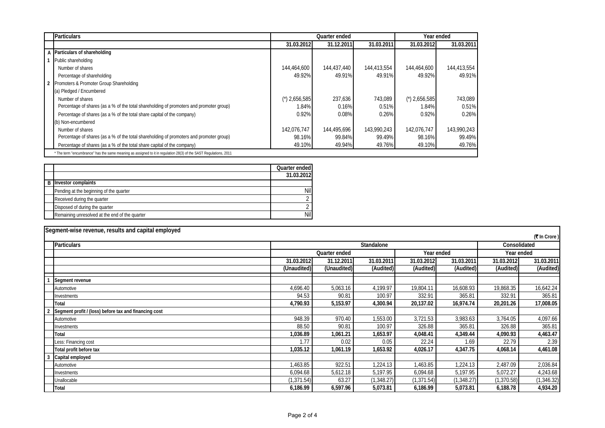| <b>Particulars</b>                                                                                                |                               | Quarter ended |             |                 | Year ended  |
|-------------------------------------------------------------------------------------------------------------------|-------------------------------|---------------|-------------|-----------------|-------------|
|                                                                                                                   | 31.03.2012                    | 31.12.2011    | 31.03.2011  | 31.03.2012      | 31.03.2011  |
| A Particulars of shareholding                                                                                     |                               |               |             |                 |             |
| Public shareholding                                                                                               |                               |               |             |                 |             |
| Number of shares                                                                                                  | 144,464,600                   | 144,437,440   | 144,413,554 | 144,464,600     | 144,413,554 |
| Percentage of shareholding                                                                                        | 49.92%                        | 49.91%        | 49.91%      | 49.92%          | 49.91%      |
| 2 Promoters & Promoter Group Shareholding                                                                         |                               |               |             |                 |             |
| (a) Pledged / Encumbered                                                                                          |                               |               |             |                 |             |
| Number of shares                                                                                                  | $^{\prime\prime}$ ) 2,656,585 | 237,636       | 743.089     | $'$ ) 2,656,585 | 743.089     |
| Percentage of shares (as a % of the total shareholding of promoters and promoter group)                           | 1.84%                         | 0.16%         | 0.51%       | 1.84%           | 0.51%       |
| Percentage of shares (as a % of the total share capital of the company)                                           | 0.92%                         | 0.08%         | 0.26%       | 0.92%           | 0.26%       |
| (b) Non-encumbered                                                                                                |                               |               |             |                 |             |
| Number of shares                                                                                                  | 142.076.747                   | 144,495,696   | 143,990,243 | 142.076.747     | 143,990,243 |
| Percentage of shares (as a % of the total shareholding of promoters and promoter group)                           | 98.16%                        | 99.84%        | 99.49%      | 98.16%          | 99.49%      |
| Percentage of shares (as a % of the total share capital of the company)                                           | 49.10%                        | 49.94%        | 49.76%      | 49.10%          | 49.76%      |
| * The term "encumbrance" has the same meaning as assigned to it in regulation 28(3) of the SAST Regulations, 2011 |                               |               |             |                 |             |

|                                                | Quarter ended |
|------------------------------------------------|---------------|
|                                                | 31.03.2012    |
| <b>B</b> Investor complaints                   |               |
| Pending at the beginning of the quarter        | Nil           |
| Received during the quarter                    |               |
| Disposed of during the quarter                 |               |
| Remaining unresolved at the end of the quarter | Nil           |

| Segment-wise revenue, results and capital employed    |                             |             |             |            |            |             |              |
|-------------------------------------------------------|-----------------------------|-------------|-------------|------------|------------|-------------|--------------|
|                                                       |                             |             |             |            |            |             | (₹ In Crore) |
| <b>Particulars</b>                                    | Standalone<br>Consolidated  |             |             |            |            |             |              |
|                                                       | Quarter ended<br>Year ended |             |             | Year ended |            |             |              |
|                                                       | 31.03.2012                  | 31.12.2011  | 31.03.2011  | 31.03.2012 | 31.03.2011 | 31.03.2012  | 31.03.2011   |
|                                                       | (Unaudited)                 | (Unaudited) | (Audited)   | (Audited)  | (Audited)  | (Audited)   | (Audited)    |
| Segment revenue                                       |                             |             |             |            |            |             |              |
| Automotive                                            | 4,696.40                    | 5,063.16    | 4,199.97    | 19,804.11  | 16,608.93  | 19,868.35   | 16,642.24    |
| Investments                                           | 94.53                       | 90.81       | 100.97      | 332.91     | 365.81     | 332.91      | 365.81       |
| Total                                                 | 4,790.93                    | 5,153.97    | 4,300.94    | 20,137.02  | 16,974.74  | 20,201.26   | 17,008.05    |
| Segment profit / (loss) before tax and financing cost |                             |             |             |            |            |             |              |
| Automotive                                            | 948.39                      | 970.40      | 1,553.00    | 3,721.53   | 3,983.63   | 3,764.05    | 4,097.66     |
| Investments                                           | 88.50                       | 90.81       | 100.97      | 326.88     | 365.81     | 326.88      | 365.81       |
| Total                                                 | 1,036.89                    | 1,061.21    | 1,653.97    | 4,048.41   | 4,349.44   | 4,090.93    | 4,463.47     |
| Less: Financing cost                                  | 1.77                        | 0.02        | 0.05        | 22.24      | 1.69       | 22.79       | 2.39         |
| Total profit before tax                               | 1,035.12                    | 1,061.19    | 1,653.92    | 4,026.17   | 4,347.75   | 4,068.14    | 4,461.08     |
| 3<br>Capital employed                                 |                             |             |             |            |            |             |              |
| Automotive                                            | 1,463.85                    | 922.51      | 1,224.13    | 1,463.85   | 1,224.13   | 2,487.09    | 2,036.84     |
| Investments                                           | 6,094.68                    | 5,612.18    | 5,197.95    | 6,094.68   | 5,197.95   | 5,072.27    | 4,243.68     |
| Unallocable                                           | (1, 371.54)                 | 63.27       | (1, 348.27) | (1,371.54) | (1,348.27) | (1, 370.58) | (1, 346.32)  |
| Total                                                 | 6,186.99                    | 6,597.96    | 5,073.81    | 6,186.99   | 5,073.81   | 6,188.78    | 4,934.20     |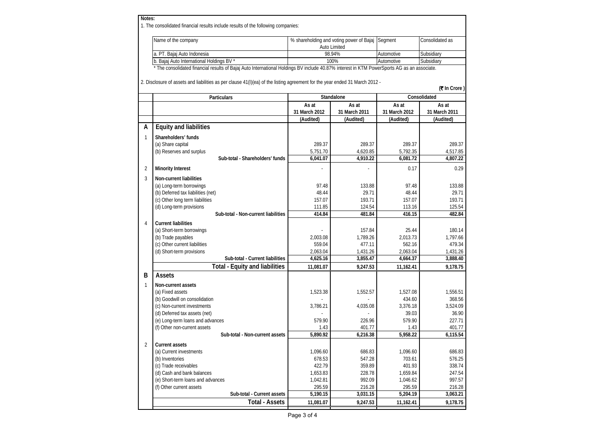| Notes:         | 1. The consolidated financial results include results of the following companies:                                                                                                                                                                                          |                                          |                        |                        |                        |  |
|----------------|----------------------------------------------------------------------------------------------------------------------------------------------------------------------------------------------------------------------------------------------------------------------------|------------------------------------------|------------------------|------------------------|------------------------|--|
|                | Name of the company                                                                                                                                                                                                                                                        | % shareholding and voting power of Bajaj |                        | Segment                | Consolidated as        |  |
|                |                                                                                                                                                                                                                                                                            | Auto Limited                             |                        |                        |                        |  |
|                | a. PT. Bajaj Auto Indonesia                                                                                                                                                                                                                                                |                                          | 98.94%                 | Automotive             | Subsidiary             |  |
|                | b. Bajaj Auto International Holdings BV *                                                                                                                                                                                                                                  |                                          | 100%                   | Automotive             | Subsidiary             |  |
|                | * The consolidated financial results of Bajaj Auto International Holdings BV include 40.87% interest in KTM PowerSports AG as an associate.<br>2. Disclosure of assets and liabilities as per clause 41(I)(ea) of the listing agreement for the year ended 31 March 2012 - |                                          |                        |                        | (₹In Crore)            |  |
|                |                                                                                                                                                                                                                                                                            |                                          |                        | Consolidated           |                        |  |
|                | <b>Particulars</b>                                                                                                                                                                                                                                                         |                                          | Standalone             |                        |                        |  |
|                |                                                                                                                                                                                                                                                                            | As at<br>31 March 2012                   | As at<br>31 March 2011 | As at<br>31 March 2012 | As at<br>31 March 2011 |  |
|                |                                                                                                                                                                                                                                                                            | (Audited)                                | (Audited)              | (Audited)              | (Audited)              |  |
| A              | <b>Equity and liabilities</b>                                                                                                                                                                                                                                              |                                          |                        |                        |                        |  |
|                |                                                                                                                                                                                                                                                                            |                                          |                        |                        |                        |  |
| $\mathbf{1}$   | Shareholders' funds                                                                                                                                                                                                                                                        |                                          |                        |                        |                        |  |
|                | (a) Share capital                                                                                                                                                                                                                                                          | 289.37                                   | 289.37                 | 289.37                 | 289.37                 |  |
|                | (b) Reserves and surplus                                                                                                                                                                                                                                                   | 5,751.70                                 | 4,620.85               | 5,792.35               | 4,517.85               |  |
|                | Sub-total - Shareholders' funds                                                                                                                                                                                                                                            | 6,041.07                                 | 4,910.22               | 6,081.72               | 4,807.22               |  |
| 2              | <b>Minority Interest</b>                                                                                                                                                                                                                                                   |                                          |                        | 0.17                   | 0.29                   |  |
| 3              | Non-current liabilities                                                                                                                                                                                                                                                    |                                          |                        |                        |                        |  |
|                | (a) Long-term borrowings                                                                                                                                                                                                                                                   | 97.48                                    | 133.88                 | 97.48                  | 133.88                 |  |
|                | (b) Deferred tax liabilities (net)                                                                                                                                                                                                                                         | 48.44                                    | 29.71                  | 48.44                  | 29.71                  |  |
|                | (c) Other long term liabilities                                                                                                                                                                                                                                            | 157.07                                   | 193.71                 | 157.07                 | 193.71                 |  |
|                | (d) Long-term provisions                                                                                                                                                                                                                                                   | 111.85                                   | 124.54                 | 113.16                 | 125.54                 |  |
|                | Sub-total - Non-current liabilities                                                                                                                                                                                                                                        | 414.84                                   | 481.84                 | 416.15                 | 482.84                 |  |
| 4              | <b>Current liabilities</b>                                                                                                                                                                                                                                                 |                                          |                        |                        |                        |  |
|                | (a) Short-term borrowings                                                                                                                                                                                                                                                  |                                          | 157.84                 | 25.44                  | 180.14                 |  |
|                | (b) Trade payables                                                                                                                                                                                                                                                         | 2,003.08                                 | 1,789.26               | 2,013.73               | 1,797.66               |  |
|                | (c) Other current liabilities                                                                                                                                                                                                                                              | 559.04                                   | 477.11                 | 562.16                 | 479.34                 |  |
|                | (d) Short-term provisions                                                                                                                                                                                                                                                  | 2,063.04                                 | 1,431.26               | 2,063.04               | 1,431.26               |  |
|                | Sub-total - Current liabilities                                                                                                                                                                                                                                            | 4,625.16                                 | 3,855.47               | 4,664.37               | 3,888.40               |  |
|                | <b>Total - Equity and liabilities</b>                                                                                                                                                                                                                                      | 11,081.07                                | 9,247.53               | 11,162.41              | 9,178.75               |  |
| B              | <b>Assets</b>                                                                                                                                                                                                                                                              |                                          |                        |                        |                        |  |
|                |                                                                                                                                                                                                                                                                            |                                          |                        |                        |                        |  |
| 1              | Non-current assets                                                                                                                                                                                                                                                         |                                          |                        |                        |                        |  |
|                | (a) Fixed assets                                                                                                                                                                                                                                                           | 1,523.38                                 | 1,552.57               | 1,527.08               | 1,556.51               |  |
|                | (b) Goodwill on consolidation                                                                                                                                                                                                                                              |                                          |                        | 434.60<br>3,376.18     | 368.56<br>3,524.09     |  |
|                | (c) Non-current investments<br>(d) Deferred tax assets (net)                                                                                                                                                                                                               | 3,786.21                                 | 4,035.08               | 39.03                  |                        |  |
|                |                                                                                                                                                                                                                                                                            | 579.90                                   |                        | 579.90                 | 36.90                  |  |
|                | (e) Long-term loans and advances<br>(f) Other non-current assets                                                                                                                                                                                                           | 1.43                                     | 226.96<br>401.77       | 1.43                   | 227.71<br>401.77       |  |
|                | Sub-total - Non-current assets                                                                                                                                                                                                                                             | 5,890.92                                 | 6,216.38               | 5,958.22               | 6,115.54               |  |
|                |                                                                                                                                                                                                                                                                            |                                          |                        |                        |                        |  |
| $\overline{2}$ | <b>Current assets</b>                                                                                                                                                                                                                                                      |                                          |                        |                        |                        |  |
|                | (a) Current investments                                                                                                                                                                                                                                                    | 1,096.60                                 | 686.83                 | 1,096.60               | 686.83                 |  |
|                | (b) Inventories                                                                                                                                                                                                                                                            | 678.53                                   | 547.28                 | 703.61                 | 576.25                 |  |
|                | (c) Trade receivables                                                                                                                                                                                                                                                      | 422.79                                   | 359.89                 | 401.93                 | 338.74                 |  |
|                | (d) Cash and bank balances                                                                                                                                                                                                                                                 | 1,653.83                                 | 228.78                 | 1,659.84               | 247.54                 |  |
|                | (e) Short-term loans and advances                                                                                                                                                                                                                                          | 1,042.81                                 | 992.09                 | 1,046.62               | 997.57                 |  |
|                | (f) Other current assets                                                                                                                                                                                                                                                   | 295.59                                   | 216.28                 | 295.59                 | 216.28                 |  |
|                | Sub-total - Current assets                                                                                                                                                                                                                                                 | 5,190.15                                 | 3,031.15               | 5,204.19               | 3,063.21               |  |
|                | <b>Total - Assets</b>                                                                                                                                                                                                                                                      | 11,081.07                                | 9,247.53               | 11,162.41              | 9,178.75               |  |